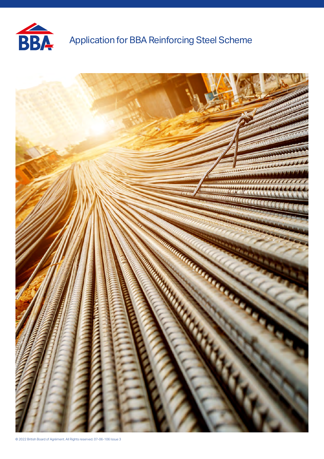

# Application for BBA Reinforcing Steel Scheme

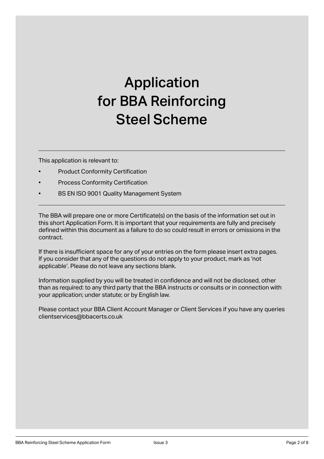# Application for BBA Reinforcing Steel Scheme

This application is relevant to:

- **Product Conformity Certification**
- Process Conformity Certification
- BS EN ISO 9001 Quality Management System

The BBA will prepare one or more Certificate(s) on the basis of the information set out in this short Application Form. It is important that your requirements are fully and precisely defined within this document as a failure to do so could result in errors or omissions in the contract.

If there is insufficient space for any of your entries on the form please insert extra pages. If you consider that any of the questions do not apply to your product, mark as 'not applicable'. Please do not leave any sections blank.

Information supplied by you will be treated in confidence and will not be disclosed, other than as required: to any third party that the BBA instructs or consults or in connection with your application; under statute; or by English law.

Please contact your BBA Client Account Manager or Client Services if you have any queries clientservices@bbacerts.co.uk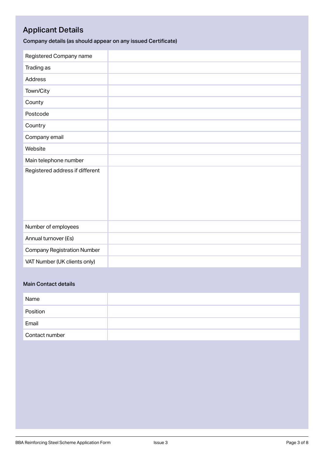## Applicant Details

Company details (as should appear on any issued Certificate)

| Registered Company name            |  |
|------------------------------------|--|
| Trading as                         |  |
| <b>Address</b>                     |  |
| Town/City                          |  |
| County                             |  |
| Postcode                           |  |
| Country                            |  |
| Company email                      |  |
| Website                            |  |
| Main telephone number              |  |
| Registered address if different    |  |
| Number of employees                |  |
| Annual turnover (£s)               |  |
| <b>Company Registration Number</b> |  |
| VAT Number (UK clients only)       |  |

#### Main Contact details

| Name           |  |
|----------------|--|
| Position       |  |
| Email          |  |
| Contact number |  |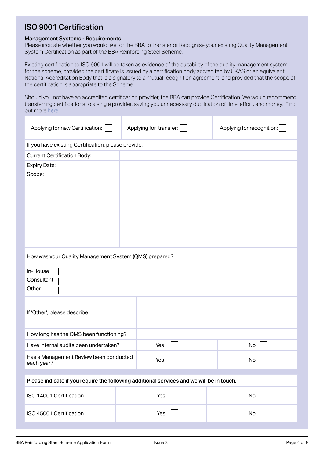#### ISO 9001 Certification

#### Management Systems - Requirements

Please indicate whether you would like for the BBA to Transfer or Recognise your existing Quality Management System Certification as part of the BBA Reinforcing Steel Scheme.

Existing certification to ISO 9001 will be taken as evidence of the suitability of the quality management system for the scheme, provided the certificate is issued by a certification body accredited by UKAS or an equivalent National Accreditation Body that is a signatory to a mutual recognition agreement, and provided that the scope of the certification is appropriate to the Scheme.

Should you not have an accredited certification provider, the BBA can provide Certification. We would recommend transferring certifications to a single provider, saving you unnecessary duplication of time, effort, and money. Find out more [here](https://www.bbacerts.co.uk/2021/08/11/bundled-bba-services-that-save-you-time-and-money/ ).

| Applying for new Certification:                                                                                          | Applying for transfer: | Applying for recognition: |  |
|--------------------------------------------------------------------------------------------------------------------------|------------------------|---------------------------|--|
| If you have existing Certification, please provide:                                                                      |                        |                           |  |
| <b>Current Certification Body:</b>                                                                                       |                        |                           |  |
| <b>Expiry Date:</b>                                                                                                      |                        |                           |  |
| Scope:                                                                                                                   |                        |                           |  |
| How was your Quality Management System (QMS) prepared?<br>In-House<br>Consultant<br>Other<br>If 'Other', please describe |                        |                           |  |
| How long has the QMS been functioning?                                                                                   |                        |                           |  |
| Have internal audits been undertaken?                                                                                    | Yes                    | No                        |  |
| Has a Management Review been conducted<br>each year?                                                                     | Yes                    | No                        |  |
| Please indicate if you require the following additional services and we will be in touch.                                |                        |                           |  |
| ISO 14001 Certification                                                                                                  | Yes                    | No                        |  |
| ISO 45001 Certification                                                                                                  | Yes                    | No                        |  |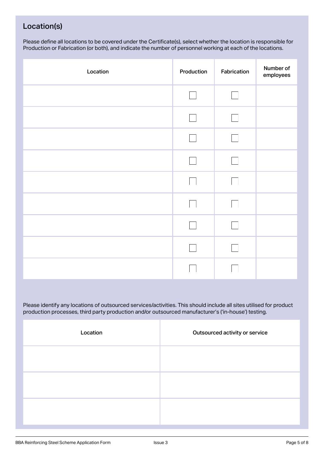#### Location(s)

Please define all locations to be covered under the Certificate(s), select whether the location is responsible for Production or Fabrication (or both), and indicate the number of personnel working at each of the locations.

| Location | Production | Fabrication | Number of<br>employees |
|----------|------------|-------------|------------------------|
|          |            |             |                        |
|          |            |             |                        |
|          |            |             |                        |
|          |            |             |                        |
|          |            |             |                        |
|          |            |             |                        |
|          |            |             |                        |
|          |            |             |                        |
|          |            |             |                        |

Please identify any locations of outsourced services/activities. This should include all sites utilised for product production processes, third party production and/or outsourced manufacturer's ('in-house') testing.

| Location | Outsourced activity or service |
|----------|--------------------------------|
|          |                                |
|          |                                |
|          |                                |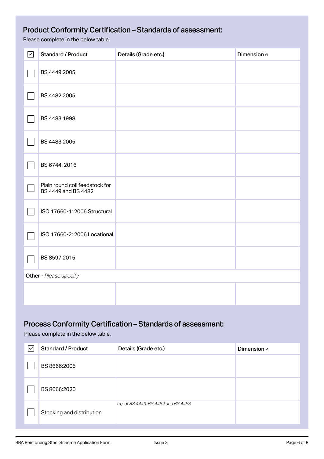## Product Conformity Certification – Standards of assessment:

Please complete in the below table.

| $\boxed{\checkmark}$   | <b>Standard / Product</b>                             | Details (Grade etc.) | Dimension ø |
|------------------------|-------------------------------------------------------|----------------------|-------------|
|                        | BS 4449:2005                                          |                      |             |
|                        | BS 4482:2005                                          |                      |             |
|                        | BS 4483:1998                                          |                      |             |
|                        | BS 4483:2005                                          |                      |             |
|                        | BS 6744: 2016                                         |                      |             |
|                        | Plain round coil feedstock for<br>BS 4449 and BS 4482 |                      |             |
|                        | ISO 17660-1: 2006 Structural                          |                      |             |
|                        | ISO 17660-2: 2006 Locational                          |                      |             |
|                        | BS 8597:2015                                          |                      |             |
| Other - Please specify |                                                       |                      |             |
|                        |                                                       |                      |             |

### Process Conformity Certification – Standards of assessment:

Please complete in the below table.

| $\overline{\checkmark}$ | <b>Standard / Product</b> | Details (Grade etc.)                 | Dimension ø |
|-------------------------|---------------------------|--------------------------------------|-------------|
|                         | BS 8666:2005              |                                      |             |
|                         | BS 8666:2020              |                                      |             |
|                         | Stocking and distribution | e.g. of BS 4449, BS 4482 and BS 4483 |             |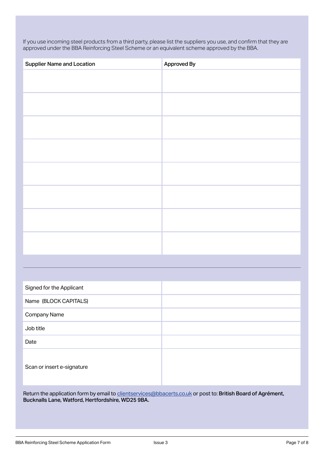If you use incoming steel products from a third party, please list the suppliers you use, and confirm that they are approved under the BBA Reinforcing Steel Scheme or an equivalent scheme approved by the BBA.

| <b>Supplier Name and Location</b> | Approved By |
|-----------------------------------|-------------|
|                                   |             |
|                                   |             |
|                                   |             |
|                                   |             |
|                                   |             |
|                                   |             |
|                                   |             |
|                                   |             |
|                                   |             |

| Signed for the Applicant   |  |
|----------------------------|--|
| Name (BLOCK CAPITALS)      |  |
| Company Name               |  |
| Job title                  |  |
| Date                       |  |
| Scan or insert e-signature |  |

Return the application form by email to clientservices@bbacerts.co.uk or post to: British Board of Agrément, Bucknalls Lane, Watford, Hertfordshire, WD25 9BA.